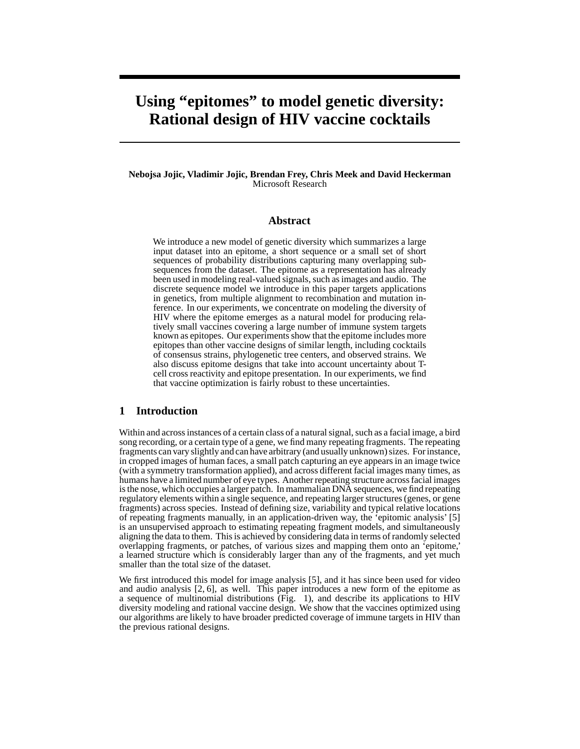# **Using "epitomes" to model genetic diversity: Rational design of HIV vaccine cocktails**

**Nebojsa Jojic, Vladimir Jojic, Brendan Frey, Chris Meek and David Heckerman** Microsoft Research

#### **Abstract**

We introduce a new model of genetic diversity which summarizes a large input dataset into an epitome, a short sequence or a small set of short sequences of probability distributions capturing many overlapping subsequences from the dataset. The epitome as a representation has already been used in modeling real-valued signals, such as images and audio. The discrete sequence model we introduce in this paper targets applications in genetics, from multiple alignment to recombination and mutation inference. In our experiments, we concentrate on modeling the diversity of HIV where the epitome emerges as a natural model for producing relatively small vaccines covering a large number of immune system targets known as epitopes. Our experiments show that the epitome includes more epitopes than other vaccine designs of similar length, including cocktails of consensus strains, phylogenetic tree centers, and observed strains. We also discuss epitome designs that take into account uncertainty about Tcell cross reactivity and epitope presentation. In our experiments, we find that vaccine optimization is fairly robust to these uncertainties.

## **1 Introduction**

Within and across instances of a certain class of a natural signal, such as a facial image, a bird song recording, or a certain type of a gene, we find many repeating fragments. The repeating fragments can vary slightly and can have arbitrary (and usually unknown) sizes. For instance, in cropped images of human faces, a small patch capturing an eye appears in an image twice (with a symmetry transformation applied), and across different facial images many times, as humans have a limited number of eye types. Another repeating structure across facial images is the nose, which occupies a larger patch. In mammalian DNA sequences, we find repeating regulatory elements within a single sequence, and repeating larger structures (genes, or gene fragments) across species. Instead of defining size, variability and typical relative locations of repeating fragments manually, in an application-driven way, the 'epitomic analysis' [5] is an unsupervised approach to estimating repeating fragment models, and simultaneously aligning the data to them. This is achieved by considering data in terms of randomly selected overlapping fragments, or patches, of various sizes and mapping them onto an 'epitome,' a learned structure which is considerably larger than any of the fragments, and yet much smaller than the total size of the dataset.

We first introduced this model for image analysis [5], and it has since been used for video and audio analysis [2, 6], as well. This paper introduces a new form of the epitome as a sequence of multinomial distributions (Fig. 1), and describe its applications to HIV diversity modeling and rational vaccine design. We show that the vaccines optimized using our algorithms are likely to have broader predicted coverage of immune targets in HIV than the previous rational designs.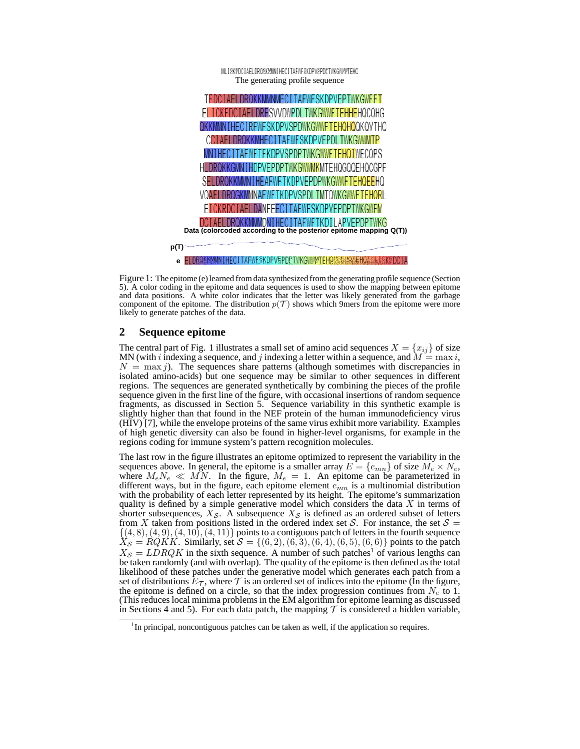

Figure 1: The epitome (e) learned from data synthesized from the generating profile sequence (Section 5). A color coding in the epitome and data sequences is used to show the mapping between epitome and data positions. A white color indicates that the letter was likely generated from the garbage component of the epitome. The distribution  $p(\mathcal{T})$  shows which 9mers from the epitome were more likely to generate patches of the data.

## **2 Sequence epitome**

The central part of Fig. 1 illustrates a small set of amino acid sequences  $X = \{x_{ij}\}\$  of size MN (with i indexing a sequence, and j indexing a letter within a sequence, and  $M = \max i$ ,  $N = \max j$ ). The sequences share patterns (although sometimes with discrepancies in isolated amino-acids) but one sequence may be similar to other sequences in different regions. The sequences are generated synthetically by combining the pieces of the profile sequence given in the first line of the figure, with occasional insertions of random sequence fragments, as discussed in Section 5. Sequence variability in this synthetic example is slightly higher than that found in the NEF protein of the human immunodeficiency virus (HIV) [7], while the envelope proteins of the same virus exhibit more variability. Examples of high genetic diversity can also be found in higher-level organisms, for example in the regions coding for immune system's pattern recognition molecules.

The last row in the figure illustrates an epitome optimized to represent the variability in the sequences above. In general, the epitome is a smaller array  $E = \{e_{mn}\}$  of size  $M_e \times N_e$ , where  $M_e N_e \ll MN$ . In the figure,  $M_e = 1$ . An epitome can be parameterized in where  $M_e N_e \ll MN$ . In the figure,  $M_e = 1$ . An epitome can be parameterized in different ways, but in the figure, each epitome element  $e_{mn}$  is a multinomial distribution with the probability of each letter represented by its height. The epitome's summarization quality is defined by a simple generative model which considers the data  $X$  in terms of shorter subsequences,  $X_{\mathcal{S}}$ . A subsequence  $X_{\mathcal{S}}$  is defined as an ordered subset of letters from X taken from positions listed in the ordered index set S. For instance, the set  $\mathcal{S} =$ from X taken from positions listed in the ordered index set S. For instance, the set  $S = \{(4, 8), (4, 9), (4, 10), (4, 11)\}$  points to a contiguous patch of letters in the fourth sequence  $\{(4, 8), (4, 9), (4, 10), (4, 11)\}$  points to a contiguous patch of letters in the fourth sequence  $X_s = ROKK$ . Similarly, set  $S = \{(6, 2), (6, 3), (6, 4), (6, 5), (6, 6)\}$  points to the patch  $X_{\mathcal{S}} = RQKK$ . Similarly, set  $\mathcal{S} = \{(6, 2), (6, 3), (6, 4), (6, 5), (6, 6)\}$  points to the patch  $X_{\mathcal{S}} = LDROK$  in the sixth sequence. A number of such patches<sup>1</sup> of various lengths can  $X_{\mathcal{S}} = LDRQK$  in the sixth sequence. A number of such patches<sup>1</sup> of various lengths can be taken randomly (and with overlap). The quality of the epitome is then defined as the total likelihood of these patches under the generative model which generates each patch from a set of distributions  $E_{\mathcal{T}}$ , where  $\mathcal{T}$  is an ordered set of indices into the epitome (In the figure, the epitome is defined on a circle, so that the index progression continues from  $N_e$  to 1. (This reduces local minima problems in the EM algorithm for epitome learning as discussed in Sections 4 and 5). For each data patch, the mapping  $\mathcal T$  is considered a hidden variable,

<sup>&</sup>lt;sup>1</sup>In principal, noncontiguous patches can be taken as well, if the application so requires.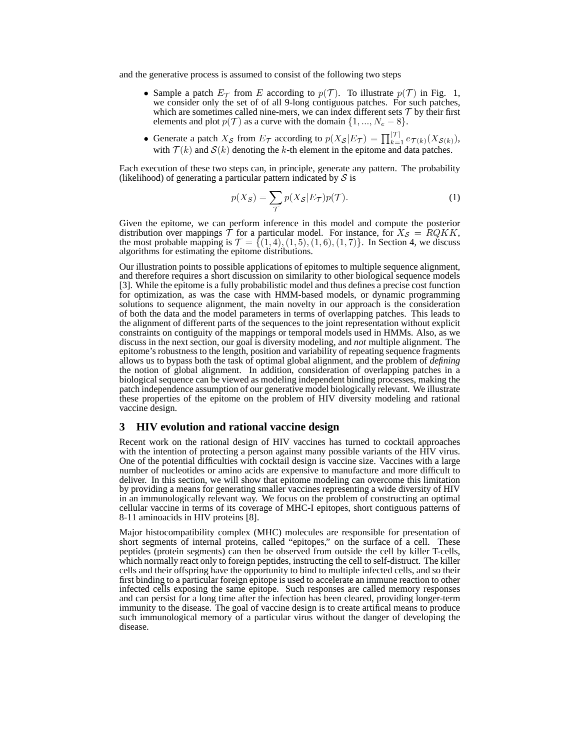and the generative process is assumed to consist of the following two steps

- Sample a patch  $E_{\mathcal{T}}$  from E according to  $p(\mathcal{T})$ . To illustrate  $p(\mathcal{T})$  in Fig. 1, we consider only the set of of all 9-long contiguous patches. For such patches, which are sometimes called nine-mers, we can index different sets  $\mathcal T$  by their first elements and plot  $p(\mathcal{T})$  as a curve with the domain  $\{1, ..., N_e - 8\}$ .
- Generate a patch  $X_{\mathcal{S}}$  from  $E_{\mathcal{T}}$  according to  $p(X_{\mathcal{S}}|E_{\mathcal{T}}) = \prod_{k=1}^{|I|} e_{\mathcal{T}(k)}(X_{\mathcal{S}(k)}),$  with  $\mathcal{T}(k)$  and  $S(k)$  denoting the k-th element in the enitome and data patches with  $\mathcal{T}(k)$  and  $\mathcal{S}(k)$  denoting the k-th element in the epitome and data patches.

Each execution of these two steps can, in principle, generate any pattern. The probability (likelihood) of generating a particular pattern indicated by  $S$  is

$$
p(X_S) = \sum_{\mathcal{T}} p(X_S | E_{\mathcal{T}}) p(\mathcal{T}).
$$
\n(1)

Given the epitome, we can perform inference in this model and compute the posterior distribution over mappings  $\hat{\mathcal{T}}$  for a particular model. For instance, for  $X_{\mathcal{S}} = \hat{R}QKK$ , the most probable mapping is  $\mathcal{T} = \{(1, 4), (1, 5), (1, 6), (1, 7)\}\.$  In Section 4, we discuss algorithms for estimating the epitome distributions.

Our illustration points to possible applications of epitomes to multiple sequence alignment, and therefore requires a short discussion on similarity to other biological sequence models [3]. While the epitome is a fully probabilistic model and thus defines a precise cost function for optimization, as was the case with HMM-based models, or dynamic programming solutions to sequence alignment, the main novelty in our approach is the consideration of both the data and the model parameters in terms of overlapping patches. This leads to the alignment of different parts of the sequences to the joint representation without explicit constraints on contiguity of the mappings or temporal models used in HMMs. Also, as we discuss in the next section, our goal is diversity modeling, and *not* multiple alignment. The epitome's robustness to the length, position and variability of repeating sequence fragments allows us to bypass both the task of optimal global alignment, and the problem of *defining* the notion of global alignment. In addition, consideration of overlapping patches in a biological sequence can be viewed as modeling independent binding processes, making the patch independence assumption of our generative model biologically relevant. We illustrate these properties of the epitome on the problem of HIV diversity modeling and rational vaccine design.

## **3 HIV evolution and rational vaccine design**

Recent work on the rational design of HIV vaccines has turned to cocktail approaches with the intention of protecting a person against many possible variants of the HIV virus. One of the potential difficulties with cocktail design is vaccine size. Vaccines with a large number of nucleotides or amino acids are expensive to manufacture and more difficult to deliver. In this section, we will show that epitome modeling can overcome this limitation by providing a means for generating smaller vaccines representing a wide diversity of HIV in an immunologically relevant way. We focus on the problem of constructing an optimal cellular vaccine in terms of its coverage of MHC-I epitopes, short contiguous patterns of 8-11 aminoacids in HIV proteins [8].

Major histocompatibility complex (MHC) molecules are responsible for presentation of short segments of internal proteins, called "epitopes," on the surface of a cell. These peptides (protein segments) can then be observed from outside the cell by killer T-cells, which normally react only to foreign peptides, instructing the cell to self-distruct. The killer cells and their offspring have the opportunity to bind to multiple infected cells, and so their first binding to a particular foreign epitope is used to accelerate an immune reaction to other infected cells exposing the same epitope. Such responses are called memory responses and can persist for a long time after the infection has been cleared, providing longer-term immunity to the disease. The goal of vaccine design is to create artifical means to produce such immunological memory of a particular virus without the danger of developing the disease.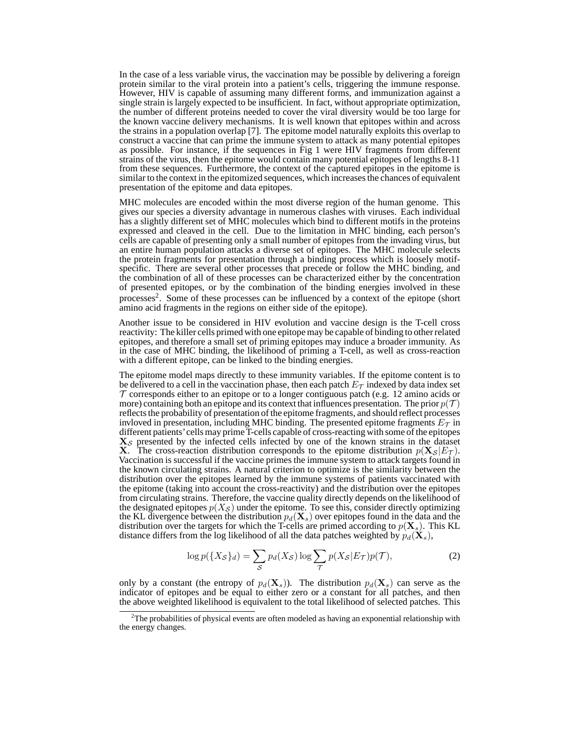In the case of a less variable virus, the vaccination may be possible by delivering a foreign protein similar to the viral protein into a patient's cells, triggering the immune response. However, HIV is capable of assuming many different forms, and immunization against a single strain is largely expected to be insufficient. In fact, without appropriate optimization, the number of different proteins needed to cover the viral diversity would be too large for the known vaccine delivery mechanisms. It is well known that epitopes within and across the strains in a population overlap [7]. The epitome model naturally exploits this overlap to construct a vaccine that can prime the immune system to attack as many potential epitopes as possible. For instance, if the sequences in Fig 1 were HIV fragments from different strains of the virus, then the epitome would contain many potential epitopes of lengths 8-11 from these sequences. Furthermore, the context of the captured epitopes in the epitome is similar to the context in the epitomized sequences, which increases the chances of equivalent presentation of the epitome and data epitopes.

MHC molecules are encoded within the most diverse region of the human genome. This gives our species a diversity advantage in numerous clashes with viruses. Each individual has a slightly different set of MHC molecules which bind to different motifs in the proteins expressed and cleaved in the cell. Due to the limitation in MHC binding, each person's cells are capable of presenting only a small number of epitopes from the invading virus, but an entire human population attacks a diverse set of epitopes. The MHC molecule selects the protein fragments for presentation through a binding process which is loosely motifspecific. There are several other processes that precede or follow the MHC binding, and the combination of all of these processes can be characterized either by the concentration of presented epitopes, or by the combination of the binding energies involved in these processes<sup>2</sup>. Some of these processes can be influenced by a context of the epitope (short amino acid fragments in the regions on either side of the epitope).

Another issue to be considered in HIV evolution and vaccine design is the T-cell cross reactivity: The killer cells primed with one epitope may be capable of binding to other related epitopes, and therefore a small set of priming epitopes may induce a broader immunity. As in the case of MHC binding, the likelihood of priming a T-cell, as well as cross-reaction with a different epitope, can be linked to the binding energies.

The epitome model maps directly to these immunity variables. If the epitome content is to be delivered to a cell in the vaccination phase, then each patch  $E_{\mathcal{T}}$  indexed by data index set  $\tau$  corresponds either to an epitope or to a longer contiguous patch (e.g. 12 amino acids or more) containing both an epitope and its context that influences presentation. The prior  $p(\mathcal{T})$ reflects the probability of presentation of the epitome fragments, and should reflect processes invloved in presentation, including MHC binding. The presented epitome fragments  $E_{\mathcal{T}}$  in different patients'cells may prime T-cells capable of cross-reacting with some of the epitopes  $\mathbf{X}_{\mathcal{S}}$  presented by the infected cells infected by one of the known strains in the dataset **X**. The cross-reaction distribution corresponds to the epitome distribution  $p(\mathbf{X}_{\mathcal{S}}|E_T)$ . Vaccination is successful if the vaccine primes the immune system to attack targets found in the known circulating strains. A natural criterion to optimize is the similarity between the distribution over the epitopes learned by the immune systems of patients vaccinated with the epitome (taking into account the cross-reactivity) and the distribution over the epitopes from circulating strains. Therefore, the vaccine quality directly depends on the likelihood of the designated epitopes  $p(X_{\mathcal{S}})$  under the epitome. To see this, consider directly optimizing the KL divergence between the distribution  $p_d(\mathbf{X}_s)$  over epitopes found in the data and the distribution over the targets for which the T-cells are primed according to  $p(\mathbf{X}_s)$ . This KL distance differs from the log likelihood of all the data patches weighted by  $p_d(\mathbf{X}_s)$ ,

$$
\log p(\{X_{\mathcal{S}}\}_d) = \sum_{\mathcal{S}} p_d(X_{\mathcal{S}}) \log \sum_{\mathcal{T}} p(X_{\mathcal{S}} | E_{\mathcal{T}}) p(\mathcal{T}), \tag{2}
$$

only by a constant (the entropy of  $p_d(\mathbf{X}_s)$ ). The distribution  $p_d(\mathbf{X}_s)$  can serve as the indicator of epitopes and be equal to either zero or a constant for all patches, and then the above weighted likelihood is equivalent to the total likelihood of selected patches. This

 $2$ The probabilities of physical events are often modeled as having an exponential relationship with the energy changes.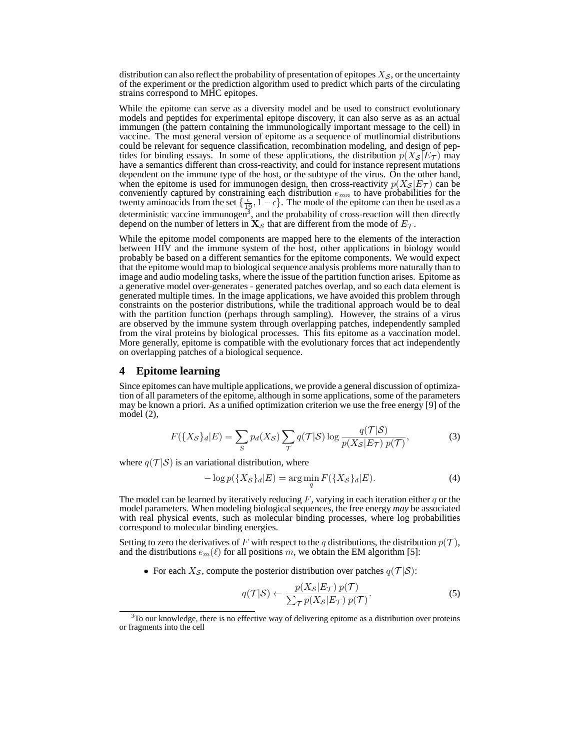distribution can also reflect the probability of presentation of epitopes  $X_{\mathcal{S}}$ , or the uncertainty of the experiment or the prediction algorithm used to predict which parts of the circulating strains correspond to MHC epitopes.

While the epitome can serve as a diversity model and be used to construct evolutionary models and peptides for experimental epitope discovery, it can also serve as as an actual immungen (the pattern containing the immunologically important message to the cell) in vaccine. The most general version of epitome as a sequence of mutlinomial distributions could be relevant for sequence classification, recombination modeling, and design of peptides for binding essays. In some of these applications, the distribution  $p(X_{\mathcal{S}} | E_{\mathcal{T}})$  may have a semantics different than cross-reactivity, and could for instance represent mutations dependent on the immune type of the host, or the subtype of the virus. On the other hand, when the epitome is used for immunogen design, then cross-reactivity  $p(X_S|E_T)$  can be when the epitome is used for immunogen design, then cross-reactivity  $p(X_S|E_T)$  can be conveniently captured by constraining each distribution  $e_{mn}$  to have probabilities for the twenty aminoacids from the set  $\{\frac{\epsilon}{19},$ depend on the number of letters in  $\mathbf{X}_{\mathcal{S}}$  that are different from the mode of  $E_{\mathcal{T}}$ .

While the epitome model components are mapped here to the elements of the interaction between HIV and the immune system of the host, other applications in biology would probably be based on a different semantics for the epitome components. We would expect that the epitome would map to biological sequence analysis problems more naturally than to image and audio modeling tasks, where the issue of the partition function arises. Epitome as a generative model over-generates - generated patches overlap, and so each data element is generated multiple times. In the image applications, we have avoided this problem through constraints on the posterior distributions, while the traditional approach would be to deal with the partition function (perhaps through sampling). However, the strains of a virus are observed by the immune system through overlapping patches, independently sampled from the viral proteins by biological processes. This fits epitome as a vaccination model. More generally, epitome is compatible with the evolutionary forces that act independently on overlapping patches of a biological sequence.

#### **4 Epitome learning**

Since epitomes can have multiple applications, we provide a general discussion of optimization of all parameters of the epitome, although in some applications, some of the parameters may be known a priori. As a unified optimization criterion we use the free energy [9] of the model (2),

$$
F(\{X_{\mathcal{S}}\}_{d}|E) = \sum_{S} p_d(X_{\mathcal{S}}) \sum_{\mathcal{T}} q(\mathcal{T}|\mathcal{S}) \log \frac{q(\mathcal{T}|\mathcal{S})}{p(X_{\mathcal{S}}|E_{\mathcal{T}}) p(\mathcal{T})},
$$
(3)

where  $q(\mathcal{T}|\mathcal{S})$  is an variational distribution, where

$$
-\log p(\lbrace X_{\mathcal{S}} \rbrace_d | E) = \arg\min_q F(\lbrace X_{\mathcal{S}} \rbrace_d | E). \tag{4}
$$

The model can be learned by iteratively reducing  $F$ , varying in each iteration either q or the model parameters. When modeling biological sequences, the free energy *may* be associated with real physical events, such as molecular binding processes, where log probabilities correspond to molecular binding energies.

Setting to zero the derivatives of F with respect to the q distributions, the distribution  $p(\mathcal{T})$ , and the distributions  $e_m(\ell)$  for all positions m, we obtain the EM algorithm [5]:

• For each  $X_{\mathcal{S}}$ , compute the posterior distribution over patches  $q(\mathcal{T}|\mathcal{S})$ :

$$
q(\mathcal{T}|\mathcal{S}) \leftarrow \frac{p(X_{\mathcal{S}}|E_{\mathcal{T}}) p(\mathcal{T})}{\sum_{\mathcal{T}} p(X_{\mathcal{S}}|E_{\mathcal{T}}) p(\mathcal{T})}.
$$
 (5)

 $3$ To our knowledge, there is no effective way of delivering epitome as a distribution over proteins or fragments into the cell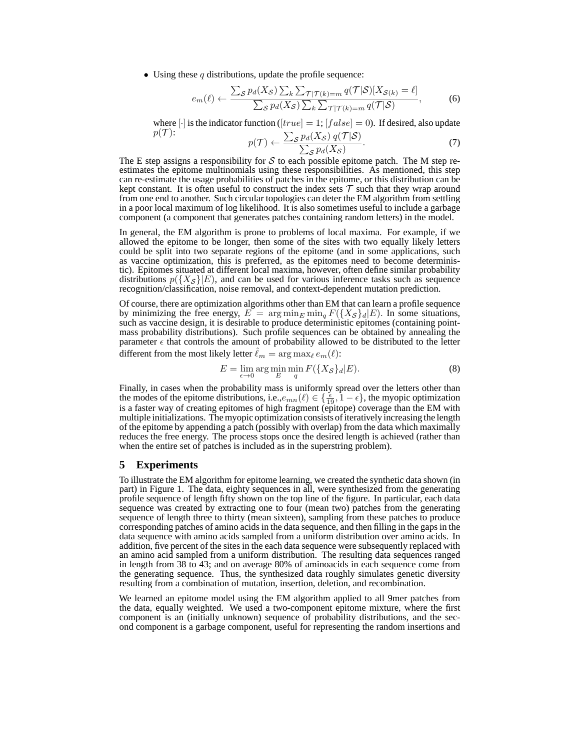• Using these q distributions, update the profile sequence:

$$
e_m(\ell) \leftarrow \frac{\sum_{\mathcal{S}} p_d(X_{\mathcal{S}}) \sum_k \sum_{\mathcal{T} | \mathcal{T}(k) = m} q(\mathcal{T} | \mathcal{S}) [X_{\mathcal{S}(k)} = \ell]}{\sum_{\mathcal{S}} p_d(X_{\mathcal{S}}) \sum_k \sum_{\mathcal{T} | \mathcal{T}(k) = m} q(\mathcal{T} | \mathcal{S})},\tag{6}
$$

where [·] is the indicator function ( $[true] = 1$ ;  $[false] = 0$ ). If desired, also update  $p(\mathcal{T})$ :<br>  $p(\mathcal{T}) \leftarrow \frac{\sum_{\mathcal{S}} p_d(X_{\mathcal{S}}) q(\mathcal{T}|S)}{\sum_{\mathcal{S}} p_d(X_{\mathcal{S}}) q(\mathcal{T})}$ . (7)  $p(\mathcal{T})$ :

$$
p(\mathcal{T}) \leftarrow \frac{\sum_{S} p_d(X_S) q(\mathcal{T}|S)}{\sum_{S} p_d(X_S)}.
$$
 (7)  
The E step assigns a responsibility for S to each possible epitome patch. The M step re-

estimates the epitome multinomials using these responsibilities. As mentioned, this step can re-estimate the usage probabilities of patches in the epitome, or this distribution can be kept constant. It is often useful to construct the index sets  $\mathcal T$  such that they wrap around from one end to another. Such circular topologies can deter the EM algorithm from settling in a poor local maximum of log likelihood. It is also sometimes useful to include a garbage component (a component that generates patches containing random letters) in the model.

In general, the EM algorithm is prone to problems of local maxima. For example, if we allowed the epitome to be longer, then some of the sites with two equally likely letters could be split into two separate regions of the epitome (and in some applications, such as vaccine optimization, this is preferred, as the epitomes need to become deterministic). Epitomes situated at different local maxima, however, often define similar probability distributions  $p({X_{\mathcal{S}}}|E)$ , and can be used for various inference tasks such as sequence recognition/classification, noise removal, and context-dependent mutation prediction.

Of course, there are optimization algorithms other than EM that can learn a profile sequence by minimizing the free energy,  $E = \arg \min_E \min_q F(\lbrace X_{\mathcal{S}} \rbrace_d | E)$ . In some situations, such as vaccine design, it is desirable to produce deterministic epitomes (containing pointsuch as vaccine design, it is desirable to produce deterministic epitomes (containing pointmass probability distributions). Such profile sequences can be obtained by annealing the parameter  $\epsilon$  that controls the amount of probability allowed to be distributed to the letter different from the most likely letter  $\ell_m = \arg \max_{\ell} e_m(\ell)$ :

$$
E = \lim_{\epsilon \to 0} \arg\min_{E} \min_{q} F(\{X_{\mathcal{S}}\}_{d} | E). \tag{8}
$$

Finally, in cases when the probability mass is uniformly spread over the letters other than the modes of the epitome distributions, i.e., $e_{mn}(\ell) \in \{\frac{\epsilon}{1.9}, 1 - \epsilon\}$ , the myopic optimization<br>is a faster way of creating epitomes of high fragment (epitone) coverage than the EM with is a faster way of creating epitomes of high fragment (epitope) coverage than the EM with multiple initializations. The myopic optimization consists of iteratively increasing the length of the epitome by appending a patch (possibly with overlap) from the data which maximally reduces the free energy. The process stops once the desired length is achieved (rather than when the entire set of patches is included as in the superstring problem).

### **5 Experiments**

To illustrate the EM algorithm for epitome learning, we created the synthetic data shown (in part) in Figure 1. The data, eighty sequences in all, were synthesized from the generating profile sequence of length fifty shown on the top line of the figure. In particular, each data sequence was created by extracting one to four (mean two) patches from the generating sequence of length three to thirty (mean sixteen), sampling from these patches to produce corresponding patches of amino acids in the data sequence, and then filling in the gaps in the data sequence with amino acids sampled from a uniform distribution over amino acids. In addition, five percent of the sites in the each data sequence were subsequently replaced with an amino acid sampled from a uniform distribution. The resulting data sequences ranged in length from 38 to 43; and on average 80% of aminoacids in each sequence come from the generating sequence. Thus, the synthesized data roughly simulates genetic diversity resulting from a combination of mutation, insertion, deletion, and recombination.

We learned an epitome model using the EM algorithm applied to all 9mer patches from the data, equally weighted. We used a two-component epitome mixture, where the first component is an (initially unknown) sequence of probability distributions, and the second component is a garbage component, useful for representing the random insertions and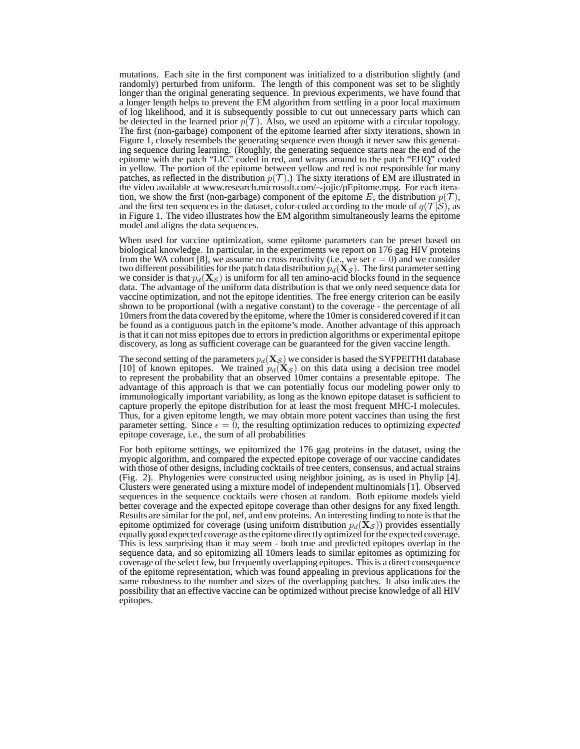mutations. Each site in the first component was initialized to a distribution slightly (and randomly) perturbed from uniform. The length of this component was set to be slightly longer than the original generating sequence. In previous experiments, we have found that a longer length helps to prevent the EM algorithm from settling in a poor local maximum of log likelihood, and it is subsequently possible to cut out unnecessary parts which can be detected in the learned prior  $p(\mathcal{T})$ . Also, we used an epitome with a circular topology. The first (non-garbage) component of the epitome learned after sixty iterations, shown in Figure 1, closely resembels the generating sequence even though it never saw this generating sequence during learning. (Roughly, the generating sequence starts near the end of the epitome with the patch "LIC" coded in red, and wraps around to the patch "EHQ" coded in yellow. The portion of the epitome between yellow and red is not responsible for many patches, as reflected in the distribution  $p(\mathcal{T})$ .) The sixty iterations of EM are illustrated in the video available at www.research.microsoft.com/∼jojic/pEpitome.mpg. For each iteration, we show the first (non-garbage) component of the epitome E, the distribution  $p(\mathcal{T})$ , and the first ten sequences in the dataset, color-coded according to the mode of  $q(\mathcal{T}|\mathcal{S})$ , as in Figure 1. The video illustrates how the EM algorithm simultaneously learns the epitome model and aligns the data sequences.

When used for vaccine optimization, some epitome parameters can be preset based on biological knowledge. In particular, in the experiments we report on 176 gag HIV proteins from the WA cohort [8], we assume no cross reactivity (i.e., we set  $\epsilon = 0$ ) and we consider two different possibilities for the patch data distribution  $p_d(\mathbf{X}_s)$ . The first parameter setting two different possibilities for the patch data distribution  $p_d(\mathbf{X}_\mathcal{S})$ . The first parameter setting we consider is that  $p_d(\mathbf{X}_\mathcal{S})$  is uniform for all ten amino-acid blocks found in the sequence we consider is that  $p_d(\mathbf{X}_S)$  is uniform for all ten amino-acid blocks found in the sequence data. The advantage of the uniform data distribution is that we only need sequence data for vaccine optimization, and not the epitope identities. The free energy criterion can be easily shown to be proportional (with a negative constant) to the coverage - the percentage of all 10mers from the data covered by the epitome, where the 10mer is considered covered if it can be found as a contiguous patch in the epitome's mode. Another advantage of this approach is that it can not miss epitopes due to errors in prediction algorithms or experimental epitope discovery, as long as sufficient coverage can be guaranteed for the given vaccine length.

The second setting of the parameters  $p_d(\mathbf{X}_S)$  we consider is based the SYFPEITHI database [10] of known epitopes. We trained  $p_d(\mathbf{X}_{\mathcal{S}})$  on this data using a decision tree model to represent the probability that an observed 10mer contains a presentable epitope. The advantage of this approach is that we can potentially focus our modeling power only to immunologically important variability, as long as the known epitope dataset is sufficient to capture properly the epitope distribution for at least the most frequent MHC-I molecules. Thus, for a given epitome length, we may obtain more potent vaccines than using the first parameter setting. Since  $\epsilon = 0$ , the resulting optimization reduces to optimizing *expected* epitope coverage, i.e., the sum of all probabilities

For both epitome settings, we epitomized the 176 gag proteins in the dataset, using the myopic algorithm, and compared the expected epitope coverage of our vaccine candidates with those of other designs, including cocktails of tree centers, consensus, and actual strains (Fig. 2). Phylogenies were constructed using neighbor joining, as is used in Phylip [4]. Clusters were generated using a mixture model of independent multinomials [1]. Observed sequences in the sequence cocktails were chosen at random. Both epitome models yield better coverage and the expected epitope coverage than other designs for any fixed length. Results are similar for the pol, nef, and env proteins. An interesting finding to note is that the epitome optimized for coverage (using uniform distribution  $p_d(\mathbf{\tilde{X}}_{\mathcal{S}})$ ) provides essentially equally good expected coverage as the epitome directly optimized for the expected coverage. This is less surprising than it may seem - both true and predicted epitopes overlap in the sequence data, and so epitomizing all 10mers leads to similar epitomes as optimizing for coverage of the select few, but frequently overlapping epitopes. This is a direct consequence of the epitome representation, which was found appealing in previous applications for the same robustness to the number and sizes of the overlapping patches. It also indicates the possibility that an effective vaccine can be optimized without precise knowledge of all HIV epitopes.